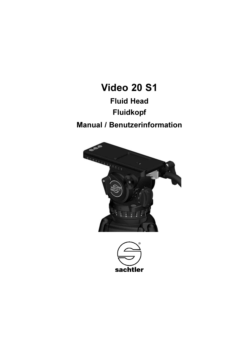# Video 20 S1

## Fluid Head Fluidkopf Manual / Benutzerinformation



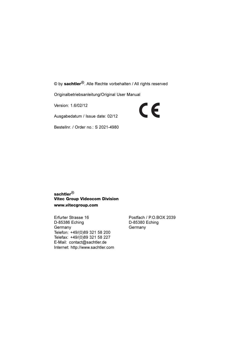© by **sachtler**®. Alle Rechte vorbehalten / All rights reserved

Originalbetriebsanleitung/Original User Manual

Version: 1.6/02/12

Ausgabedatum / Issue date: 02/12

Bestellnr. / Order no.: S 2021-4980

# $c\epsilon$

### **sachtler**® **Vitec Group Videocom Division www.vitecgroup.com**

Erfurter Strasse 16 Postfach / P.O.BOX 2039<br>D-85386 Eching D-85380 Eching D-85386 Eching Germany Germany Telefon: +49/(0)89 321 58 200 Telefax: +49/(0)89 321 58 227 E-Mail: contact@sachtler.de Internet: http://www.sachtler.com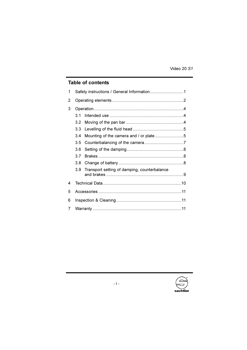### Video 20 S1

### Table of contents

| 1 |     |                                              |  |
|---|-----|----------------------------------------------|--|
| 2 |     |                                              |  |
| 3 |     |                                              |  |
|   | 31  |                                              |  |
|   | 3.2 |                                              |  |
|   | 3.3 |                                              |  |
|   | 3.4 |                                              |  |
|   | 3.5 |                                              |  |
|   | 3.6 |                                              |  |
|   | 3.7 |                                              |  |
|   | 3.8 |                                              |  |
|   | 3.9 | Transport setting of damping, counterbalance |  |
| 4 |     |                                              |  |
| 5 |     |                                              |  |
| 6 |     |                                              |  |
| 7 |     |                                              |  |

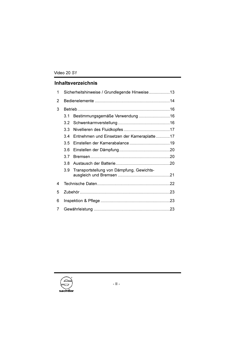### Video 20 S1

### Inhaltsverzeichnis

| 1 | Sicherheitshinweise / Grundlegende Hinweise13 |                                            |  |  |
|---|-----------------------------------------------|--------------------------------------------|--|--|
| 2 |                                               |                                            |  |  |
| 3 |                                               |                                            |  |  |
|   | 3.1                                           | Bestimmungsgemäße Verwendung 16            |  |  |
|   | 3.2                                           |                                            |  |  |
|   | 3.3                                           |                                            |  |  |
|   | 3.4                                           | Entnehmen und Einsetzen der Kameraplatte17 |  |  |
|   | 3.5                                           |                                            |  |  |
|   | 3.6                                           |                                            |  |  |
|   | 3.7                                           |                                            |  |  |
|   | 3 8                                           |                                            |  |  |
|   | 3.9                                           | Transportstellung von Dämpfung, Gewichts-  |  |  |
| 4 |                                               |                                            |  |  |
| 5 |                                               |                                            |  |  |
| 6 |                                               |                                            |  |  |
| 7 |                                               |                                            |  |  |

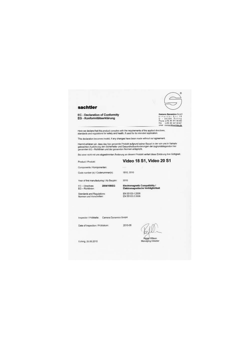

#### sachtler

EC - Declaration of Conformity<br>EG - Konformitätserklärung

**Camera Dynamics** GmbH<br>Effurter Str. 16<br>D - 85386 Eching<br>Fhone (+49) 88 32158 220<br>Fax (+49) 89 32158 227<br>cmall contact@sachtler.de

Here we declare that this product complies with the requirements of the applied directives,<br>standards and regulations for safety and health, if used for its intended application.

This declaration becomes invalid, if any changes have been made without our agreement.

Hiermit erklären wir, dass das hier genannte Produkt aufgrund seiner Bauart in der von uns in Verkehr<br>gebrachten Ausführung den Sicherheits- und Gesundheitsanforderungen der zugrundeliegenden hier<br>genannten EG - Richtlinie

 $\sim$ 

2010

Bei einer nicht mit uns abgestimmten Änderung an diesem Produkt verliert diese Erklärung ihre Gültigkeit.

Product / Produkt:

Components / Komponenten:

Code number (s) / Codenummer(n):

Year of first manufacturing / Ab Baujahr:

Electromagnetic Compatibility /<br>Elektromagnetische Verträglichkeit 2004/108/EG

2010-06

1810, 2010

Standards and Regulations:<br>Normen und Vorschriften:

EC-Directives:<br>EG-Richtlinien:

EN 55103-1:2006<br>EN 55103-2:2006

Video 18 S1, Video 20 S1

Inspector / Prüfstelle: Camera Dynamics GmbH

Date of Inspection / Prüfdatum:

Roger Wilson

Eching, 25.06.2010

Managing Director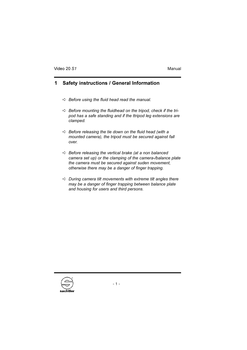### Video 20 S1 Manual

#### 1 Safety instructions / General Information

- ➪ Before using the fluid head read the manual.
- $\Rightarrow$  Before mounting the fluidhead on the tripod, check if the tripod has a safe standing and if the ttripod leg extensions are clamped.
- ➪ Before releasing the tie down on the fluid head (with a mounted camera), the tripod must be secured against fall over.
- ➪ Before releasing the vertical brake (at a non balanced camera set up) or the clamping of the camera-/balance plate the camera must be secured against suden movement, otherwise there may be a danger of finger trapping.
- ➪ During camera tilt movements with extreme tilt angles there may be a danger of finger trapping between balance plate and housing for users and third persons.



- 1 -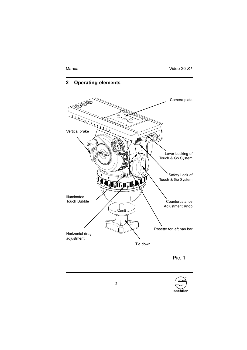Manual Video 20 S1

2 Operating elements



Pic. 1

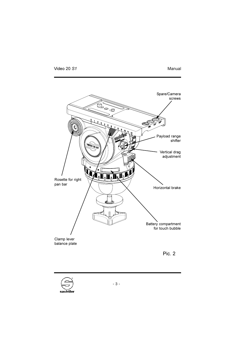



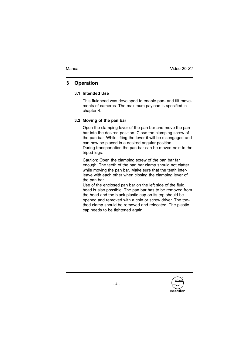#### Manual Video 20 S1

#### 3 Operation

#### 3.1 Intended Use

This fluidhead was developed to enable pan- and tilt movements of cameras. The maximum payload is specified in chapter 4.

#### 3.2 Moving of the pan bar

Open the clamping lever of the pan bar and move the pan bar into the desired position. Close the clamping screw of the pan bar. While lifting the lever it will be disengaged and can now be placed in a desired angular position. During transportation the pan bar can be moved next to the tripod legs.

Caution: Open the clamping screw of the pan bar far enough. The teeth of the pan bar clamp should not clatter while moving the pan bar. Make sure that the teeth interleave with each other when closing the clamping lever of the pan bar.

Use of the enclosed pan bar on the left side of the fluid head is also possible. The pan bar has to be removed from the head and the black plastic cap on its top should be opened and removed with a coin or screw driver. The toothed clamp should be removed and relocated. The plastic cap needs to be tightened again.

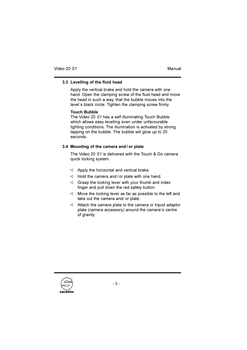#### Video 20 S1

#### Manual

#### 3.3 Levelling of the fluid head

Apply the vertical brake and hold the camera with one hand. Open the clamping screw of the fluid head and move the head in such a way, that the bubble moves into the level´s black circle. Tighten the clamping screw firmly.

#### Touch Bubble

The Video 20 S1 has a self illuminating Touch Bubble which allows easy levelling even under unfavourable lighting conditions. The illumination is activated by strong tapping on the bubble. The bubble will glow up to 20 seconds.

#### 3.4 Mounting of the camera and / or plate

The Video 20 S1 is delivered with the Touch & Go camera quick locking system.

- ➪ Apply the horizontal and vertical brake.
- ➪ Hold the camera and / or plate with one hand.
- $\Rightarrow$  Grasp the locking lever with your thumb and index finger and pull down the red safety button.
- ➪ Move the locking lever as far as possible to the left and take out the camera and/ or plate.
- ➪ Attach the camera plate to the camera or tripod adaptor plate (camera accessory) around the camera´s centre of gravity.

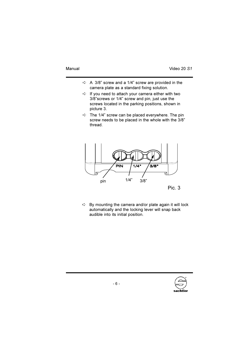- $\Rightarrow$  A 3/8" screw and a 1/4" screw are provided in the camera plate as a standard fixing solution.
- ➪ If you need to attach your camera either with two 3/8"screws or 1/4" screw and pin, just use the screws located in the parking positions, shown in picture 3.
- $\Rightarrow$  The 1/4" screw can be placed everywhere. The pin screw needs to be placed in the whole with the 3/8" thread.



Pic. 3

➪ By mounting the camera and/or plate again it will lock automatically and the locking lever will snap back audible into its initial position.

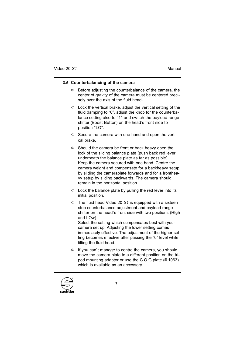#### Video 20 S1 Manual

#### 3.5 Counterbalancing of the camera

- ➪ Before adjusting the counterbalance of the camera, the center of gravity of the camera must be centered precisely over the axis of the fluid head.
- $\Rightarrow$  Lock the vertical brake, adjust the vertical setting of the fluid damping to "0", adjust the knob for the counterbalance setting also to "1" and switch the payload range shifter (Boost Button) on the head´s front side to position "LO".
- ➪ Secure the camera with one hand and open the vertical brake.
- ➪ Should the camera be front or back heavy open the lock of the sliding balance plate (push back red lever underneath the balance plate as far as possible). Keep the camera secured with one hand. Centre the camera weight and compensate for a backheavy setup by sliding the cameraplate forwards and for a frontheavy setup by sliding backwards. The camera should remain in the horizontal position.
- ➪ Lock the balance plate by pulling the red lever into its initial position.
- $\Rightarrow$  The fluid head Video 20 S1 is equipped with a sixteen step counterbalance adjustment and payload range shifter on the head´s front side with two positions (HIgh and LOw).

Select the setting which compensates best with your camera set up. Adjusting the lower setting comes immediately effective. The adjustment of the higher setting becomes effective after passing the "0" level while tilting the fluid head.

➪ If you can`t manage to centre the camera, you should move the camera plate to a different position on the tripod mounting adaptor or use the C.O.G plate (# 1063) which is available as an accessory.



- 7 -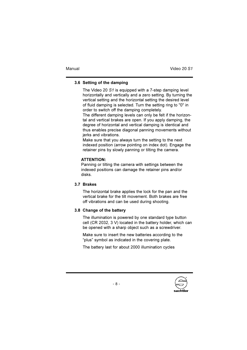#### 3.6 Setting of the damping

The Video 20 S1 is equipped with a 7-step damping level horizontally and vertically and a zero setting. By turning the vertical setting and the horizontal setting the desired level of fluid damping is selected. Turn the setting ring to "0" in order to switch off the damping completely.

The different damping levels can only be felt if the horizontal and vertical brakes are open. If you apply damping, the degree of horizontal and vertical damping is identical and thus enables precise diagonal panning movements without jerks and vibrations.

Make sure that you always turn the setting to the next indexed position (arrow pointing on index dot). Engage the retainer pins by slowly panning or tilting the camera.

#### ATTENTION:

Panning or tilting the camera with settings between the indexed positions can damage the retainer pins and/or disks.

#### 3.7 Brakes

The horizontal brake applies the lock for the pan and the vertical brake for the tilt movement. Both brakes are free off vibrations and can be used during shooting.

#### 3.8 Change of the battery

The illumination is powered by one standard type button cell (CR 2032, 3 V) located in the battery holder, which can be opened with a sharp object such as a screwdriver.

Make sure to insert the new batteries according to the "plus" symbol as indicated in the covering plate.

The battery last for about 2000 illumination cycles

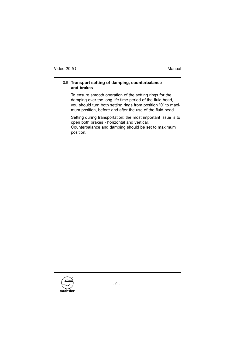Video 20 S1 Manual

#### 3.9 Transport setting of damping, counterbalance and brakes

To ensure smooth operation of the setting rings for the damping over the long life time period of the fluid head, you should turn both setting rings from position "0" to maximum position, before and after the use of the fluid head.

Setting during transportation: the most important issue is to open both brakes - horizontal and vertical. Counterbalance and damping should be set to maximum position.



- 9 -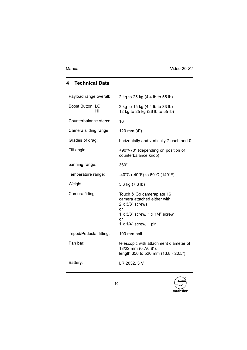### Manual Video 20 S1

### 4 Technical Data

| Payload range overall:   | 2 kg to 25 kg (4.4 lb to 55 lb)                                                                                                                                            |
|--------------------------|----------------------------------------------------------------------------------------------------------------------------------------------------------------------------|
| Boost Button: LO<br>HI   | 2 kg to 15 kg (4.4 lb to 33 lb)<br>12 kg to 25 kg (26 lb to 55 lb)                                                                                                         |
| Counterbalance steps:    | 16                                                                                                                                                                         |
| Camera sliding range     | 120 mm $(4")$                                                                                                                                                              |
| Grades of drag:          | horizontally and vertically 7 each and 0                                                                                                                                   |
| Tilt angle:              | +90°/-70° (depending on position of<br>counterbalance knob)                                                                                                                |
| panning range:           | $360^\circ$                                                                                                                                                                |
| Temperature range:       | -40°C (-40°F) to 60°C (140°F)                                                                                                                                              |
| Weight:                  | 3,3 kg (7.3 lb)                                                                                                                                                            |
| Camera fitting:          | Touch & Go cameraplate 16<br>camera attached either with<br>2 x 3/8" screws<br>or<br>$1 \times 3/8$ " screw, $1 \times 1/4$ " screw<br>or<br>$1 \times 1/4$ " screw, 1 pin |
| Tripod/Pedestal fitting: | 100 mm ball                                                                                                                                                                |
| Pan bar:                 | telescopic with attachment diameter of<br>18/22 mm (0.7/0.8"),<br>length 350 to 520 mm (13.8 - 20.5")                                                                      |
| Battery:                 | LR 2032, 3 V                                                                                                                                                               |
|                          |                                                                                                                                                                            |

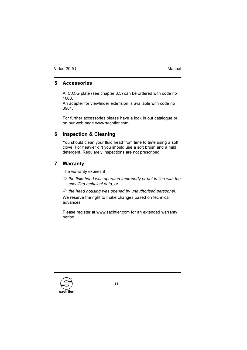Video 20 S1 Manual

#### 5 Accessories

A C.O.G plate (see chapter 3.5) can be ordered with code no 1063.

An adapter for viewfinder extension is available with code no 3981.

For further accessories please have a look in out catalogue or on our web page www.sachtler.com.

#### 6 Inspection & Cleaning

You should clean your fluid head from time to time using a soft clove. For heavier dirt you should use a soft brush and a mild detergent. Regularely inspections are not prescribed.

### 7 Warranty

The warranty expires if

- $\Rightarrow$  the fluid head was operated improperly or not in line with the specified technical data, or
- $\Rightarrow$  the head housing was opened by unauthorised personnel.

We reserve the right to make changes based on technical advances.

Please register at www.sachtler.com for an extended warranty period.

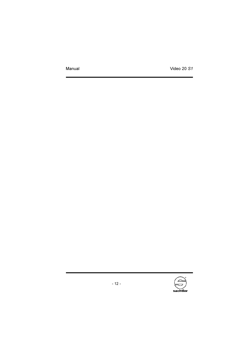Manual Video 20 S1

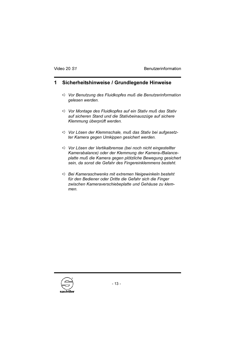#### Video 20 S1 Benutzerinformation

#### 1 Sicherheitshinweise / Grundlegende Hinweise

- ➪ Vor Benutzung des Fluidkopfes muß die Benutzerinformation gelesen werden.
- ➪ Vor Montage des Fluidkopfes auf ein Stativ muß das Stativ auf sicheren Stand und die Stativbeinauszüge auf sichere Klemmung überprüft werden.
- ➪ Vor Lösen der Klemmschale, muß das Stativ bei aufgesetzter Kamera gegen Umkippen gesichert werden.
- ➪ Vor Lösen der Vertikalbremse (bei noch nicht eingestellter Kamerabalance) oder der Klemmung der Kamera-/Balanceplatte muß die Kamera gegen plötzliche Bewegung gesichert sein, da sonst die Gefahr des Fingereinklemmens besteht.
- ➪ Bei Kameraschwenks mit extremen Neigewinkeln besteht für den Bediener oder Dritte die Gefahr sich die Finger zwischen Kameraverschiebeplatte und Gehäuse zu klemmen.

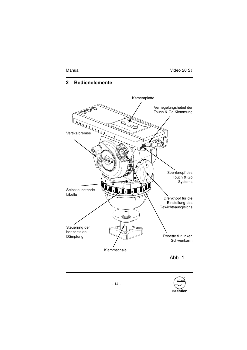Manual Video 20 S1

sachtleı

### 2 Bedienelemente

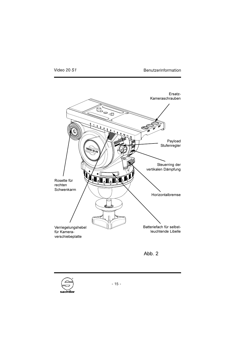

Video 20 S1 Benutzerinformation







- 15 -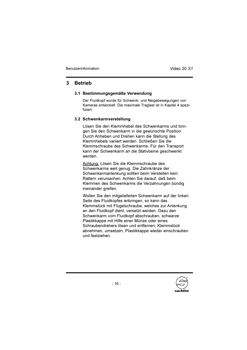Benutzerinformation **Benutzering Community** Benutzerinformation

#### 3 Betrieb

#### 3.1 Bestimmungsgemäße Verwendung

Der Fluidkopf wurde für Schwenk- und Neigebewegungen von Kameras entwickelt. Die maximale Traglast ist in Kapitel 4 spezifiziert.

#### 3.2 Schwenkarmverstellung

Lösen Sie den Klemmhebel des Schwenkarms und bringen Sie den Schwenkarm in die gewünschte Position. Durch Anheben und Drehen kann die Stellung des Klemmhebels variiert werden. Schließen Sie die Klemmschraube des Schwenkarms. Für den Transport kann der Schwenkarm an die Stativbeine geschwenkt werden.

Achtung: Lösen Sie die Klemmschraube des Schwenkarms weit genug. Die Zahnkränze der Schwenkarmanlenkung sollten beim Verstellen kein Rattern verursachen. Achten Sie darauf, daß beim Klemmen des Schwenkarms die Verzahnungen bündig ineinander greifen.

Wollen Sie den mitgelieferten Schwenkarm auf der linken Seite des Fluidkopfes anbringen, so kann das Klemmstück mit Flügelschraube, welches zur Anlenkung an den Fluidkopf dient, versetzt werden. Dazu den Schwenkarm vom Fluidkopf abschrauben, schwarze Plastikkappe mit Hilfe einer Münze oder eines Schraubendrehers lösen und entfernen; Klemmstück abnehmen, umsetzen, Plastikkappe wieder einschrauben und festziehen.

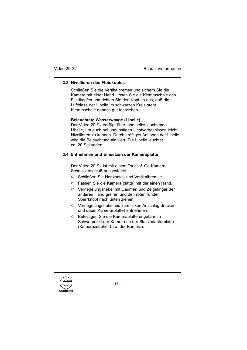#### Video 20 S1 Benutzerinformation

#### 3.3 Nivellieren des Fluidkopfes

Schließen Sie die Vertikalbremse und sichern Sie die Kamera mit einer Hand. Lösen Sie die Klemmschale des Fluidkopfes und richten Sie den Kopf so aus, daß die Luftblase der Libelle im schwarzen Kreis steht. Klemmschale danach gut festziehen.

#### Beleuchtete Wasserwaage (Libelle)

Der Video 20 S1 verfügt über eine selbstleuchtende Libelle, um auch bei ungünstigen Lichtverhältnissen leicht Nivellieren zu können. Durch kräftiges Antippen der Libelle wird die Beleuchtung aktiviert. Die Libelle leuchtet ca. 20 Sekunden.

#### 3.4 Entnehmen und Einsetzen der Kameraplatte

Der Video 20 S1 ist mit einem Touch & Go Kamera-Schnellverschluß ausgestattet.

- ➪ Schließen Sie Horizontal- und Vertikalbremse.
- ➪ Fassen Sie die Kamera(platte) mit der einen Hand.
- ➪ Verriegelungshebel mit Daumen und Zeigefinger der anderen Hand greifen und den roten runden Sperrknopf nach unten ziehen.
- ➪ Verriegelungshebel bis zum linken Anschlag drücken und dabei Kamera(platte) entnehmen.
- ➪ Befestigen Sie die Kameraplatte ungefähr im Schwerpunkt der Kamera an der Stativadapterplatte (Kamerazubehör bzw. der Kamera).

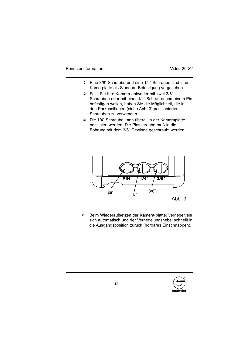#### Benutzerinformation **Video 20 S1**

- ➪ Eine 3/8" Schraube und eine 1/4" Schraube sind in der Kamerplatte als Standard-Befestigung vorgesehen.
- ➪ Falls Sie Ihre Kamera entweder mit zwei 3/8" Schrauben oder mit einer 1/4" Schraube und einem Pin befestigen wollen, haben Sie die Möglichkeit, die in den Parkpositionen (siehe Abb. 3) positionierten Schrauben zu verwenden.
- ➪ Die 1/4" Schraube kann überall in der Kameraplatte positiniert werden. Die Pinschraube muß in die Bohrung mit dem 3/8" Gewinde geschraubt werden.



➪ Beim Wiederaufsetzen der Kamera(platte) verriegelt sie sich automatisch und der Verriegelungshebel schnellt in die Ausgangsposition zurück (hörbares Einschnappen).

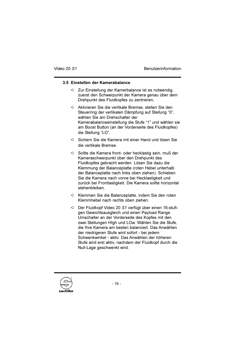#### Video 20 S1 Benutzerinformation

#### 3.5 Einstellen der Kamerabalance

- ➪ Zur Einstellung der Kamerbalance ist es notwendig, zuerst den Schwerpunkt der Kamera genau über dem Drehpunkt des Fluidkopfes zu zentrieren.
- ➪ Aktivieren Sie die vertikale Bremse, stellen Sie den Steuerring der vertikalen Dämpfung auf Stellung "0", wählen Sie am Drehschalter der Kamerabalanceeinstellung die Stufe "1" und wählen sie am Boost Button (an der Vorderseite des Fluidkopfes) die Stellung "LO".
- ➪ Sichern Sie die Kamera mit einer Hand und lösen Sie die vertikale Bremse.
- ➪ Sollte die Kamera front- oder hecklastig sein, muß der Kameraschwerpunkt über den Drehpunkt des Fluidkopfes gebracht werden. Lösen Sie dazu die Klemmung der Balanceplatte (roten Hebel unterhalb der Balanceplatte nach links oben ziehen). Schieben Sie die Kamera nach vorne bei Hecklastigkeit und zurück bei Frontlastigkeit. Die Kamera sollte horizontal stehenbleiben.
- ➪ Klemmen Sie die Balanceplatte, indem Sie den roten Klemmhebel nach rechts oben ziehen.
- ➪ Der Fluidkopf Video 20 S1 verfügt über einen 16-stufigen Gewichtsausgleich und einen Payload Range Umschalter an der Vorderseite des Kopfes mit den zwei Stellungen HIgh und LOw. Wählen Sie die Stufe, die Ihre Kamera am besten balanciert. Das Anwählen der niedrigeren Stufe wird sofort - bei jedem Schwenkwinkel - aktiv. Das Anwählen der höheren Stufe wird erst aktiv, nachdem der Fluidkopf durch die Null-Lage geschwenkt wird.



- 19 -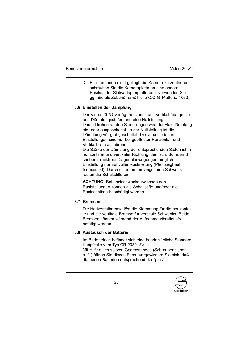#### Benutzerinformation expansion Video 20 S1

➪ Falls es Ihnen nicht gelingt, die Kamera zu zentrieren, schrauben Sie die Kameraplatte an eine andere Position der Stativadapterplatte oder verwenden Sie ggf. die als Zubehör erhältliche C.O.G. Platte (# 1063).

#### 3.6 Einstellen der Dämpfung

Der Video 20 S1 verfügt horizontal und vertikal über je sieben Dämpfungsstufen und eine Nullstellung. Durch Drehen an den Steuerringen wird die Fluiddämpfung ein- oder ausgeschaltet. In der Nullstellung ist die Dämpfung völlig abgeschaltet. Die verschiedenen Einstellungen sind nur bei geöffneter Horizontal- und Vertikalbremse spürbar. Die Stärke der Dämpfung der entsprechenden Stufen ist in

horizontaler und vertikaler Richtung identisch. Somit sind saubere, ruckfreie Diagonalbewegungen möglich. Einstellung nur auf voller Raststellung (Pfeil zeigt auf Indexpunkt). Durch einen ersten langsamen Schwenk rasten die Schaltstifte ein.

ACHTUNG: Bei Lastschwenks zwischen den Raststellungen können die Schaltstifte und/oder die Rastscheiben beschädigt werden.

#### 3.7 Bremsen

Die Horizontalbremse löst die Klemmung für die horizontale und die vertikale Bremse für vertikale Schwenks. Beide Bremsen können während der Aufnahme vibrationsfrei betätigt werden.

#### 3.8 Austausch der Batterie

Im Batteriefach befindet sich eine handelsübliche Standard Knopfzelle vom Typ CR 2032, 3V. Mit Hilfe eines spitzen Gegenstandes (Schraubenzieher o. ä.) öffnen Sie dieses Fach. Vergewissern Sie sich, daß die neuen Batterien entsprechend der "plus"

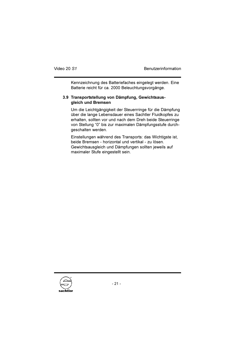Video 20 S1

Benutzerinformation

Kennzeichnung des Batteriefaches eingelegt werden. Eine Batterie reicht für ca. 2000 Beleuchtungsvorgänge.

#### 3.9 Transportstellung von Dämpfung, Gewichtsausgleich und Bremsen

Um die Leichtgängigkeit der Steuerrringe für die Dämpfung über die lange Lebensdauer eines Sachtler Fluidkopfes zu erhalten, sollten vor und nach dem Dreh beide Steuerringe von Stellung "0" bis zur maximalen Dämpfungsstufe durchgeschalten werden.

Einstellungen während des Transports: das Wichtigste ist, beide Bremsen - horizontal und vertikal - zu lösen. Gewichtsausgleich und Dämpfungen sollten jeweils auf maximaler Stufe eingestellt sein.



- 21 -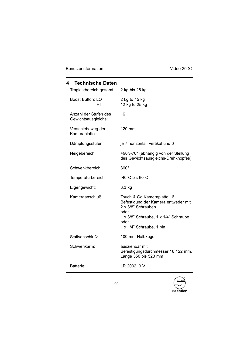Benutzerinformation Video 20 S1

| <b>Technische Daten</b><br>4                 |                                                                                                                                                                              |  |  |  |  |  |
|----------------------------------------------|------------------------------------------------------------------------------------------------------------------------------------------------------------------------------|--|--|--|--|--|
| Traglastbereich gesamt:                      | 2 kg bis 25 kg                                                                                                                                                               |  |  |  |  |  |
| Boost Button: LO<br>HI                       | 2 kg to 15 kg<br>12 kg to 25 kg                                                                                                                                              |  |  |  |  |  |
| Anzahl der Stufen des<br>Gewichtsausgleichs: | 16                                                                                                                                                                           |  |  |  |  |  |
| Verschiebeweg der<br>Kameraplatte:           | 120 mm                                                                                                                                                                       |  |  |  |  |  |
| Dämpfungsstufen:                             | je 7 horizontal, vertikal und 0                                                                                                                                              |  |  |  |  |  |
| Neigebereich:                                | +90°/-70° (abhängig von der Stellung<br>des Gewichtsausgleichs-Drehknopfes)                                                                                                  |  |  |  |  |  |
| Schwenkbereich:                              | $360^\circ$                                                                                                                                                                  |  |  |  |  |  |
| Temperaturbereich:                           | -40 $^{\circ}$ C bis 60 $^{\circ}$ C                                                                                                                                         |  |  |  |  |  |
| Eigengewicht:                                | $3,3$ kg                                                                                                                                                                     |  |  |  |  |  |
| Kameraanschluß:                              | Touch & Go Kameraplatte 16,<br>Befestigung der Kamera entweder mit<br>2 x 3/8" Schrauben<br>oder<br>1 x 3/8" Schraube, 1 x 1/4" Schraube<br>oder<br>1 x 1/4" Schraube, 1 pin |  |  |  |  |  |
| Stativanschluß:                              | 100 mm Halbkugel                                                                                                                                                             |  |  |  |  |  |
| Schwenkarm:                                  | ausziehbar mit<br>Befestigungsdurchmesser 18 / 22 mm,<br>Länge 350 bis 520 mm                                                                                                |  |  |  |  |  |
| Batterie:                                    | LR 2032, 3 V                                                                                                                                                                 |  |  |  |  |  |

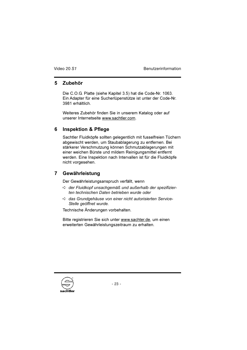Video 20 S1 Benutzerinformation

#### 5 Zubehör

Die C.O.G. Platte (siehe Kapitel 3.5) hat die Code-Nr. 1063. Ein Adapter für eine Sucherlüpenstütze ist unter der Code-Nr. 3981 erhältlich.

Weiteres Zubehör finden Sie in unserem Katalog oder auf unserer Internetseite www.sachtler.com.

#### 6 Inspektion & Pflege

Sachtler Fluidköpfe sollten gelegentlich mit fusselfreien Tüchern abgewischt werden, um Staubablagerung zu entfernen. Bei stärkerer Verschmutzung können Schmutzablagerungen mit einer weichen Bürste und mildem Reinigungsmittel entfernt werden. Eine Inspektion nach Intervallen ist für die Fluidköpfe nicht vorgesehen.

#### 7 Gewährleistung

Der Gewährleistungsanspruch verfällt, wenn

- ➪ der Fluidkopf unsachgemäß und außerhalb der spezifizierten technischen Daten betrieben wurde oder
- ➪ das Grundgehäuse von einer nicht autorisierten Service-Stelle geöffnet wurde.

Technische Änderungen vorbehalten.

Bitte registrieren Sie sich unter www.sachter.de, um einen erweiterten Gewährleistungszeitraum zu erhalten.

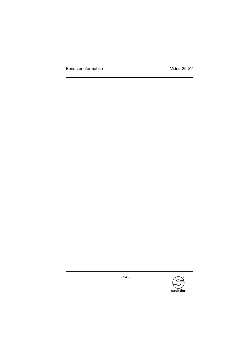Benutzerinformation Video 20 S1



- 24 -